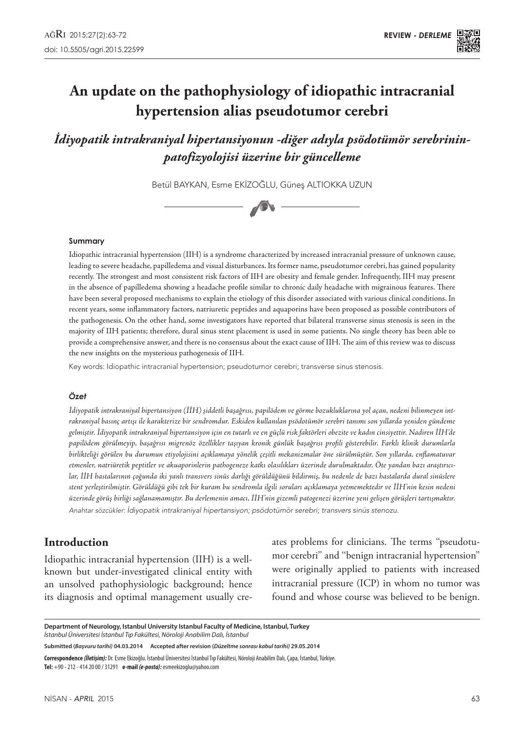# **An update on the pathophysiology of idiopathic intracranial hypertension alias pseudotumor cerebri**

*İdiyopatik intrakraniyal hipertansiyonun -diğer adıyla psödotümör serebrininpatofizyolojisi üzerine bir güncelleme*

Betül Baykan, Esme Ekizoğlu, Güneş Altıokka Uzun



#### **Summary**

Idiopathic intracranial hypertension (IIH) is a syndrome characterized by increased intracranial pressure of unknown cause, leading to severe headache, papilledema and visual disturbances. Its former name, pseudotumor cerebri, has gained popularity recently. The strongest and most consistent risk factors of IIH are obesity and female gender. Infrequently, IIH may present in the absence of papilledema showing a headache profile similar to chronic daily headache with migrainous features. There have been several proposed mechanisms to explain the etiology of this disorder associated with various clinical conditions. In recent years, some inflammatory factors, natriuretic peptides and aquaporins have been proposed as possible contributors of the pathogenesis. On the other hand, some investigators have reported that bilateral transverse sinus stenosis is seen in the majority of IIH patients; therefore, dural sinus stent placement is used in some patients. No single theory has been able to provide a comprehensive answer, and there is no consensus about the exact cause of IIH. The aim of this review was to discuss the new insights on the mysterious pathogenesis of IIH.

Key words: Idiopathic intracranial hypertension; pseudotumor cerebri; transverse sinus stenosis.

#### *Özet*

*İdiyopatik intrakraniyal hipertansiyon (İİH) şiddetli başağrısı, papilödem ve görme bozukluklarına yol açan, nedeni bilinmeyen intrakraniyal basınç artışı ile karakterize bir sendromdur. Eskiden kullanılan psödotümör serebri tanımı son yıllarda yeniden gündeme gelmiştir. İdiyopatik intrakraniyal hipertansiyon için en tutarlı ve en güçlü risk faktörleri obezite ve kadın cinsiyettir. Nadiren İİH'de papilödem görülmeyip, başağrısı migrenöz özellikler taşıyan kronik günlük başağrısı profili gösterebilir. Farklı klinik durumlarla birlikteliği görülen bu durumun etiyolojisini açıklamaya yönelik çeşitli mekanizmalar öne sürülmüştür. Son yıllarda, enflamatuvar etmenler, natriüretik peptitler ve akuaporinlerin pathogeneze katkı olasılıkları üzerinde durulmaktadır. Öte yandan bazı araştırıcılar, İİH hastalarının çoğunda iki yanlı transvers sinüs darlığı görüldüğünü bildirmiş, bu nedenle de bazı hastalarda dural sinüslere stent yerleştirilmiştir. Görüldüğü gibi tek bir kuram bu sendromla ilgili soruları açıklamaya yetmemektedir ve İİH'nin kesin nedeni üzerinde görüş birliği sağlanamamıştır. Bu derlemenin amacı, İİH'nin gizemli patogenezi üzerine yeni gelişen görüşleri tartışmaktır. Anahtar sözcükler:* İdiyopatik intrakraniyal hipertansiyon; psödotümör serebri; transvers sinüs stenozu.

## **Introduction**

Idiopathic intracranial hypertension (IIH) is a wellknown but under-investigated clinical entity with an unsolved pathophysiologic background; hence its diagnosis and optimal management usually creates problems for clinicians. The terms ''pseudotumor cerebri'' and ''benign intracranial hypertension'' were originally applied to patients with increased intracranial pressure (ICP) in whom no tumor was found and whose course was believed to be benign.

**Department of Neurology, Istanbul University Istanbul Faculty of Medicine, Istanbul, Turkey** *İstanbul Üniversitesi İstanbul Tıp Fakültesi, Nöroloji Anabilim Dalı, İstanbul*

**Submitted (***Başvuru tarihi)* **04.03.2014 Accepted after revision (***Düzeltme sonrası kabul tarihi)* **29.05.2014**

**Correspondence** *(İletişim):* Dr. Esme Ekizoğlu. İstanbul Üniversitesi İstanbul Tıp Fakültesi, Nöroloji Anabilim Dalı, Çapa, İstanbul, Türkiye. **Tel:** +90 - 212 - 414 20 00 / 31291 **e-mail** *(e-posta):* esmeekizoglu@yahoo.com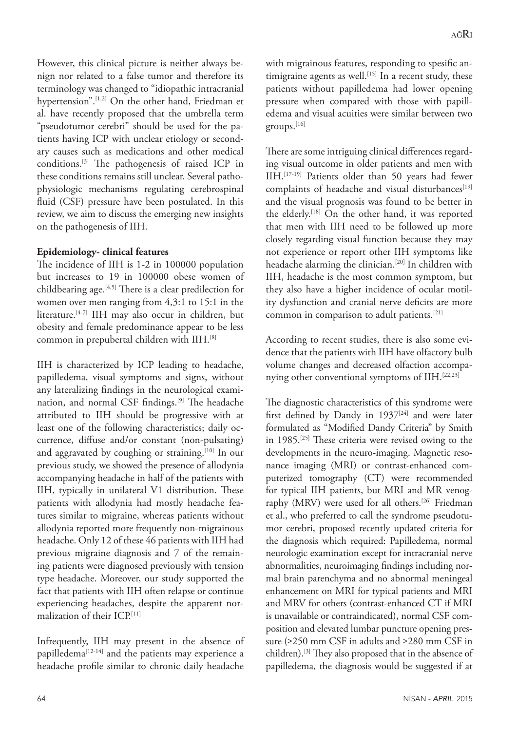However, this clinical picture is neither always benign nor related to a false tumor and therefore its terminology was changed to "idiopathic intracranial hypertension".[1,2] On the other hand, Friedman et al. have recently proposed that the umbrella term "pseudotumor cerebri" should be used for the patients having ICP with unclear etiology or secondary causes such as medications and other medical conditions.[3] The pathogenesis of raised ICP in these conditions remains still unclear. Several pathophysiologic mechanisms regulating cerebrospinal fluid (CSF) pressure have been postulated. In this review, we aim to discuss the emerging new insights on the pathogenesis of IIH.

#### **Epidemiology- clinical features**

The incidence of IIH is 1-2 in 100000 population but increases to 19 in 100000 obese women of childbearing age.[4,5] There is a clear predilection for women over men ranging from 4,3:1 to 15:1 in the literature.[4-7] IIH may also occur in children, but obesity and female predominance appear to be less common in prepubertal children with IIH.[8]

IIH is characterized by ICP leading to headache, papilledema, visual symptoms and signs, without any lateralizing findings in the neurological examination, and normal CSF findings.[9] The headache attributed to IIH should be progressive with at least one of the following characteristics; daily occurrence, diffuse and/or constant (non-pulsating) and aggravated by coughing or straining.<sup>[10]</sup> In our previous study, we showed the presence of allodynia accompanying headache in half of the patients with IIH, typically in unilateral V1 distribution. These patients with allodynia had mostly headache features similar to migraine, whereas patients without allodynia reported more frequently non-migrainous headache. Only 12 of these 46 patients with IIH had previous migraine diagnosis and 7 of the remaining patients were diagnosed previously with tension type headache. Moreover, our study supported the fact that patients with IIH often relapse or continue experiencing headaches, despite the apparent normalization of their ICP.[11]

Infrequently, IIH may present in the absence of papilledema[12-14] and the patients may experience a headache profile similar to chronic daily headache with migrainous features, responding to spesific antimigraine agents as well.<sup>[15]</sup> In a recent study, these patients without papilledema had lower opening pressure when compared with those with papilledema and visual acuities were similar between two groups.[16]

There are some intriguing clinical differences regarding visual outcome in older patients and men with IIH.[17-19] Patients older than 50 years had fewer complaints of headache and visual disturbances<sup>[19]</sup> and the visual prognosis was found to be better in the elderly.[18] On the other hand, it was reported that men with IIH need to be followed up more closely regarding visual function because they may not experience or report other IIH symptoms like headache alarming the clinician.[20] In children with IIH, headache is the most common symptom, but they also have a higher incidence of ocular motility dysfunction and cranial nerve deficits are more common in comparison to adult patients.[21]

According to recent studies, there is also some evidence that the patients with IIH have olfactory bulb volume changes and decreased olfaction accompanying other conventional symptoms of IIH.<sup>[22,23]</sup>

The diagnostic characteristics of this syndrome were first defined by Dandy in  $1937^{[24]}$  and were later formulated as "Modified Dandy Criteria" by Smith in 1985.[25] These criteria were revised owing to the developments in the neuro-imaging. Magnetic resonance imaging (MRI) or contrast-enhanced computerized tomography (CT) were recommended for typical IIH patients, but MRI and MR venography (MRV) were used for all others.[26] Friedman et al., who preferred to call the syndrome pseudotumor cerebri, proposed recently updated criteria for the diagnosis which required: Papilledema, normal neurologic examination except for intracranial nerve abnormalities, neuroimaging findings including normal brain parenchyma and no abnormal meningeal enhancement on MRI for typical patients and MRI and MRV for others (contrast-enhanced CT if MRI is unavailable or contraindicated), normal CSF composition and elevated lumbar puncture opening pressure (≥250 mm CSF in adults and ≥280 mm CSF in children).[3] They also proposed that in the absence of papilledema, the diagnosis would be suggested if at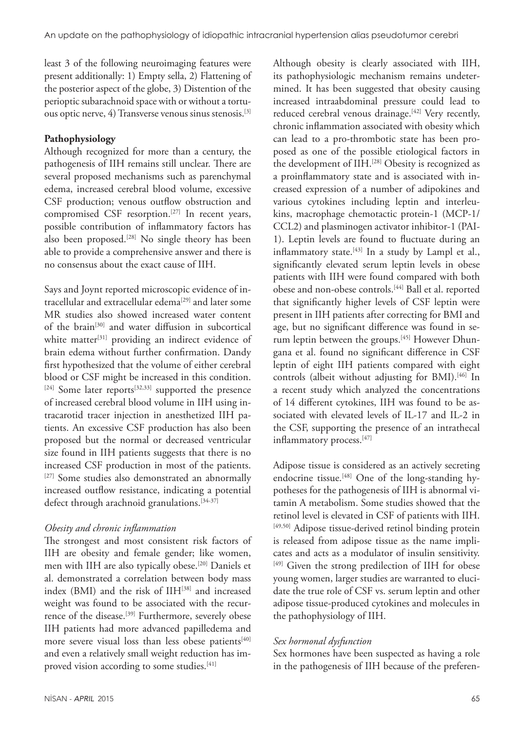least 3 of the following neuroimaging features were present additionally: 1) Empty sella, 2) Flattening of the posterior aspect of the globe, 3) Distention of the perioptic subarachnoid space with or without a tortuous optic nerve,  $4$ ) Transverse venous sinus stenosis.<sup>[3]</sup>

## **Pathophysiology**

Although recognized for more than a century, the pathogenesis of IIH remains still unclear. There are several proposed mechanisms such as parenchymal edema, increased cerebral blood volume, excessive CSF production; venous outflow obstruction and compromised CSF resorption.<sup>[27]</sup> In recent years, possible contribution of inflammatory factors has also been proposed.<sup>[28]</sup> No single theory has been able to provide a comprehensive answer and there is no consensus about the exact cause of IIH.

Says and Joynt reported microscopic evidence of intracellular and extracellular edema<sup>[29]</sup> and later some MR studies also showed increased water content of the brain[30] and water diffusion in subcortical white matter $[31]$  providing an indirect evidence of brain edema without further confirmation. Dandy first hypothesized that the volume of either cerebral blood or CSF might be increased in this condition. [24] Some later reports<sup>[32,33]</sup> supported the presence of increased cerebral blood volume in IIH using intracarotid tracer injection in anesthetized IIH patients. An excessive CSF production has also been proposed but the normal or decreased ventricular size found in IIH patients suggests that there is no increased CSF production in most of the patients. <sup>[27]</sup> Some studies also demonstrated an abnormally increased outflow resistance, indicating a potential defect through arachnoid granulations.<sup>[34-37]</sup>

## *Obesity and chronic inflammation*

The strongest and most consistent risk factors of IIH are obesity and female gender; like women, men with IIH are also typically obese.[20] Daniels et al. demonstrated a correlation between body mass index (BMI) and the risk of IIH<sup>[38]</sup> and increased weight was found to be associated with the recurrence of the disease.<sup>[39]</sup> Furthermore, severely obese IIH patients had more advanced papilledema and more severe visual loss than less obese patients<sup>[40]</sup> and even a relatively small weight reduction has improved vision according to some studies.<sup>[41]</sup>

Although obesity is clearly associated with IIH, its pathophysiologic mechanism remains undetermined. It has been suggested that obesity causing increased intraabdominal pressure could lead to reduced cerebral venous drainage.<sup>[42]</sup> Very recently, chronic inflammation associated with obesity which can lead to a pro-thrombotic state has been proposed as one of the possible etiological factors in the development of IIH.<sup>[28]</sup> Obesity is recognized as a proinflammatory state and is associated with increased expression of a number of adipokines and various cytokines including leptin and interleukins, macrophage chemotactic protein-1 (MCP-1/ CCL2) and plasminogen activator inhibitor-1 (PAI-1). Leptin levels are found to fluctuate during an inflammatory state.<sup>[43]</sup> In a study by Lampl et al., significantly elevated serum leptin levels in obese patients with IIH were found compared with both obese and non-obese controls.<sup>[44]</sup> Ball et al. reported that significantly higher levels of CSF leptin were present in IIH patients after correcting for BMI and age, but no significant difference was found in serum leptin between the groups.[45] However Dhungana et al. found no significant difference in CSF leptin of eight IIH patients compared with eight controls (albeit without adjusting for BMI).[46] In a recent study which analyzed the concentrations of 14 different cytokines, IIH was found to be associated with elevated levels of IL-17 and IL-2 in the CSF, supporting the presence of an intrathecal inflammatory process.[47]

Adipose tissue is considered as an actively secreting endocrine tissue.<sup>[48]</sup> One of the long-standing hypotheses for the pathogenesis of IIH is abnormal vitamin A metabolism. Some studies showed that the retinol level is elevated in CSF of patients with IIH. [49,50] Adipose tissue-derived retinol binding protein is released from adipose tissue as the name implicates and acts as a modulator of insulin sensitivity. [49] Given the strong predilection of IIH for obese young women, larger studies are warranted to elucidate the true role of CSF vs. serum leptin and other adipose tissue-produced cytokines and molecules in the pathophysiology of IIH.

## *Sex hormonal dysfunction*

Sex hormones have been suspected as having a role in the pathogenesis of IIH because of the preferen-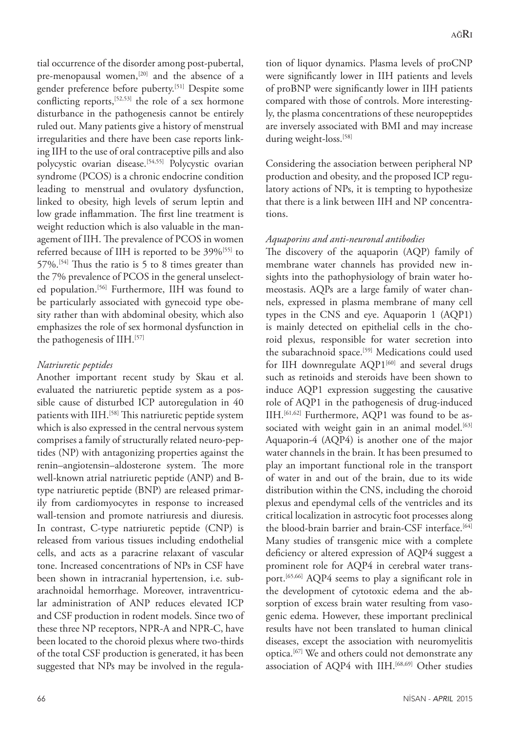tial occurrence of the disorder among post-pubertal, pre-menopausal women,<sup>[20]</sup> and the absence of a gender preference before puberty.[51] Despite some conflicting reports,[52,53] the role of a sex hormone disturbance in the pathogenesis cannot be entirely ruled out. Many patients give a history of menstrual irregularities and there have been case reports linking IIH to the use of oral contraceptive pills and also polycystic ovarian disease.<sup>[54,55]</sup> Polycystic ovarian syndrome (PCOS) is a chronic endocrine condition leading to menstrual and ovulatory dysfunction, linked to obesity, high levels of serum leptin and low grade inflammation. The first line treatment is weight reduction which is also valuable in the management of IIH. The prevalence of PCOS in women referred because of IIH is reported to be 39%<sup>[55]</sup> to  $57\%$ .<sup>[54]</sup> Thus the ratio is 5 to 8 times greater than the 7% prevalence of PCOS in the general unselected population.<sup>[56]</sup> Furthermore, IIH was found to be particularly associated with gynecoid type obesity rather than with abdominal obesity, which also emphasizes the role of sex hormonal dysfunction in the pathogenesis of IIH.[57]

## *Natriuretic peptides*

Another important recent study by Skau et al. evaluated the natriuretic peptide system as a possible cause of disturbed ICP autoregulation in 40 patients with IIH.<sup>[58]</sup> This natriuretic peptide system which is also expressed in the central nervous system comprises a family of structurally related neuro-peptides (NP) with antagonizing properties against the renin–angiotensin–aldosterone system. The more well-known atrial natriuretic peptide (ANP) and Btype natriuretic peptide (BNP) are released primarily from cardiomyocytes in response to increased wall-tension and promote natriuresis and diuresis. In contrast, C-type natriuretic peptide (CNP) is released from various tissues including endothelial cells, and acts as a paracrine relaxant of vascular tone. Increased concentrations of NPs in CSF have been shown in intracranial hypertension, i.e. subarachnoidal hemorrhage. Moreover, intraventricular administration of ANP reduces elevated ICP and CSF production in rodent models. Since two of these three NP receptors, NPR-A and NPR-C, have been located to the choroid plexus where two-thirds of the total CSF production is generated, it has been suggested that NPs may be involved in the regula-

tion of liquor dynamics. Plasma levels of proCNP were significantly lower in IIH patients and levels of proBNP were significantly lower in IIH patients compared with those of controls. More interestingly, the plasma concentrations of these neuropeptides are inversely associated with BMI and may increase during weight-loss.<sup>[58]</sup>

Considering the association between peripheral NP production and obesity, and the proposed ICP regulatory actions of NPs, it is tempting to hypothesize that there is a link between IIH and NP concentrations.

#### *Aquaporins and anti-neuronal antibodies*

The discovery of the aquaporin (AQP) family of membrane water channels has provided new insights into the pathophysiology of brain water homeostasis. AQPs are a large family of water channels, expressed in plasma membrane of many cell types in the CNS and eye. Aquaporin 1 (AQP1) is mainly detected on epithelial cells in the choroid plexus, responsible for water secretion into the subarachnoid space.<sup>[59]</sup> Medications could used for IIH downregulate  $AQP1^{[60]}$  and several drugs such as retinoids and steroids have been shown to induce AQP1 expression suggesting the causative role of AQP1 in the pathogenesis of drug-induced IIH.[61,62] Furthermore, AQP1 was found to be associated with weight gain in an animal model.<sup>[63]</sup> Aquaporin-4 (AQP4) is another one of the major water channels in the brain. It has been presumed to play an important functional role in the transport of water in and out of the brain, due to its wide distribution within the CNS, including the choroid plexus and ependymal cells of the ventricles and its critical localization in astrocytic foot processes along the blood-brain barrier and brain-CSF interface.<sup>[64]</sup> Many studies of transgenic mice with a complete deficiency or altered expression of AQP4 suggest a prominent role for AQP4 in cerebral water transport.[65,66] AQP4 seems to play a significant role in the development of cytotoxic edema and the absorption of excess brain water resulting from vasogenic edema. However, these important preclinical results have not been translated to human clinical diseases, except the association with neuromyelitis optica.[67] We and others could not demonstrate any association of AQP4 with IIH.<sup>[68,69]</sup> Other studies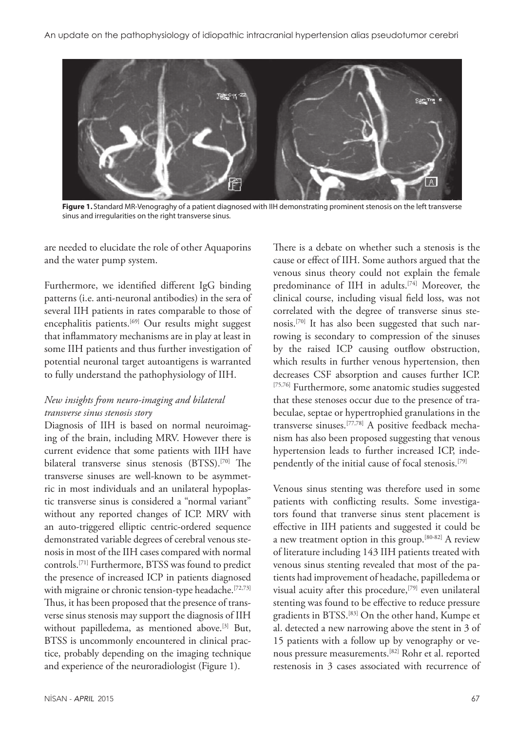

**Figure 1.** Standard MR-Venograghy of a patient diagnosed with IIH demonstrating prominent stenosis on the left transverse sinus and irregularities on the right transverse sinus.

are needed to elucidate the role of other Aquaporins and the water pump system.

Furthermore, we identified different IgG binding patterns (i.e. anti-neuronal antibodies) in the sera of several IIH patients in rates comparable to those of encephalitis patients.<sup>[69]</sup> Our results might suggest that inflammatory mechanisms are in play at least in some IIH patients and thus further investigation of potential neuronal target autoantigens is warranted to fully understand the pathophysiology of IIH.

## *New insights from neuro-imaging and bilateral transverse sinus stenosis story*

Diagnosis of IIH is based on normal neuroimaging of the brain, including MRV. However there is current evidence that some patients with IIH have bilateral transverse sinus stenosis (BTSS).<sup>[70]</sup> The transverse sinuses are well-known to be asymmetric in most individuals and an unilateral hypoplastic transverse sinus is considered a "normal variant" without any reported changes of ICP. MRV with an auto-triggered elliptic centric-ordered sequence demonstrated variable degrees of cerebral venous stenosis in most of the IIH cases compared with normal controls.[71] Furthermore, BTSS was found to predict the presence of increased ICP in patients diagnosed with migraine or chronic tension-type headache.<sup>[72,73]</sup> Thus, it has been proposed that the presence of transverse sinus stenosis may support the diagnosis of IIH without papilledema, as mentioned above.[3] But, BTSS is uncommonly encountered in clinical practice, probably depending on the imaging technique and experience of the neuroradiologist (Figure 1).

There is a debate on whether such a stenosis is the cause or effect of IIH. Some authors argued that the venous sinus theory could not explain the female predominance of IIH in adults.<sup>[74]</sup> Moreover, the clinical course, including visual field loss, was not correlated with the degree of transverse sinus stenosis.[70] It has also been suggested that such narrowing is secondary to compression of the sinuses by the raised ICP causing outflow obstruction, which results in further venous hypertension, then decreases CSF absorption and causes further ICP. [75,76] Furthermore, some anatomic studies suggested that these stenoses occur due to the presence of trabeculae, septae or hypertrophied granulations in the transverse sinuses.[77,78] A positive feedback mechanism has also been proposed suggesting that venous hypertension leads to further increased ICP, independently of the initial cause of focal stenosis.[79]

Venous sinus stenting was therefore used in some patients with conflicting results. Some investigators found that tranverse sinus stent placement is effective in IIH patients and suggested it could be a new treatment option in this group.[80-82] A review of literature including 143 IIH patients treated with venous sinus stenting revealed that most of the patients had improvement of headache, papilledema or visual acuity after this procedure,<sup>[79]</sup> even unilateral stenting was found to be effective to reduce pressure gradients in BTSS.[83] On the other hand, Kumpe et al. detected a new narrowing above the stent in 3 of 15 patients with a follow up by venography or venous pressure measurements.[82] Rohr et al. reported restenosis in 3 cases associated with recurrence of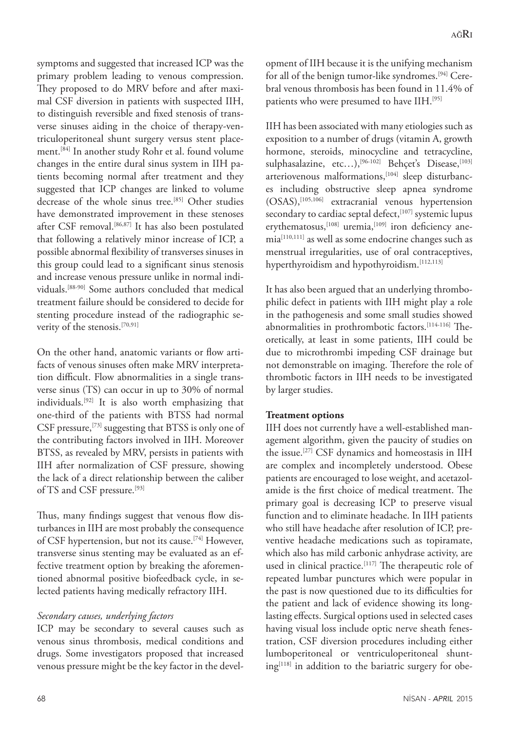symptoms and suggested that increased ICP was the primary problem leading to venous compression. They proposed to do MRV before and after maximal CSF diversion in patients with suspected IIH, to distinguish reversible and fixed stenosis of transverse sinuses aiding in the choice of therapy-ventriculoperitoneal shunt surgery versus stent placement.[84] In another study Rohr et al. found volume changes in the entire dural sinus system in IIH patients becoming normal after treatment and they suggested that ICP changes are linked to volume decrease of the whole sinus tree.<sup>[85]</sup> Other studies have demonstrated improvement in these stenoses after CSF removal.[86,87] It has also been postulated that following a relatively minor increase of ICP, a possible abnormal flexibility of transverses sinuses in this group could lead to a significant sinus stenosis and increase venous pressure unlike in normal individuals.[88-90] Some authors concluded that medical treatment failure should be considered to decide for stenting procedure instead of the radiographic severity of the stenosis.<sup>[70,91]</sup>

On the other hand, anatomic variants or flow artifacts of venous sinuses often make MRV interpretation difficult. Flow abnormalities in a single transverse sinus (TS) can occur in up to 30% of normal individuals.[92] It is also worth emphasizing that one-third of the patients with BTSS had normal CSF pressure,[73] suggesting that BTSS is only one of the contributing factors involved in IIH. Moreover BTSS, as revealed by MRV, persists in patients with IIH after normalization of CSF pressure, showing the lack of a direct relationship between the caliber of TS and CSF pressure.<sup>[93]</sup>

Thus, many findings suggest that venous flow disturbances in IIH are most probably the consequence of CSF hypertension, but not its cause.[74] However, transverse sinus stenting may be evaluated as an effective treatment option by breaking the aforementioned abnormal positive biofeedback cycle, in selected patients having medically refractory IIH.

#### *Secondary causes, underlying factors*

ICP may be secondary to several causes such as venous sinus thrombosis, medical conditions and drugs. Some investigators proposed that increased venous pressure might be the key factor in the development of IIH because it is the unifying mechanism for all of the benign tumor-like syndromes.[94] Cerebral venous thrombosis has been found in 11.4% of patients who were presumed to have IIH.<sup>[95]</sup>

IIH has been associated with many etiologies such as exposition to a number of drugs (vitamin A, growth hormone, steroids, minocycline and tetracycline, sulphasalazine, etc...),<sup>[96-102]</sup> Behçet's Disease,<sup>[103]</sup> arteriovenous malformations,<sup>[104]</sup> sleep disturbances including obstructive sleep apnea syndrome (OSAS),[105,106] extracranial venous hypertension secondary to cardiac septal defect,<sup>[107]</sup> systemic lupus erythematosus,<sup>[108]</sup> uremia,<sup>[109]</sup> iron deficiency anemia[110,111] as well as some endocrine changes such as menstrual irregularities, use of oral contraceptives, hyperthyroidism and hypothyroidism.[112,113]

It has also been argued that an underlying thrombophilic defect in patients with IIH might play a role in the pathogenesis and some small studies showed abnormalities in prothrombotic factors.[114-116] Theoretically, at least in some patients, IIH could be due to microthrombi impeding CSF drainage but not demonstrable on imaging. Therefore the role of thrombotic factors in IIH needs to be investigated by larger studies.

#### **Treatment options**

IIH does not currently have a well-established management algorithm, given the paucity of studies on the issue.[27] CSF dynamics and homeostasis in IIH are complex and incompletely understood. Obese patients are encouraged to lose weight, and acetazolamide is the first choice of medical treatment. The primary goal is decreasing ICP to preserve visual function and to eliminate headache. In IIH patients who still have headache after resolution of ICP, preventive headache medications such as topiramate, which also has mild carbonic anhydrase activity, are used in clinical practice.<sup>[117]</sup> The therapeutic role of repeated lumbar punctures which were popular in the past is now questioned due to its difficulties for the patient and lack of evidence showing its longlasting effects. Surgical options used in selected cases having visual loss include optic nerve sheath fenestration, CSF diversion procedures including either lumboperitoneal or ventriculoperitoneal shunt $ing<sup>[118]</sup>$  in addition to the bariatric surgery for obe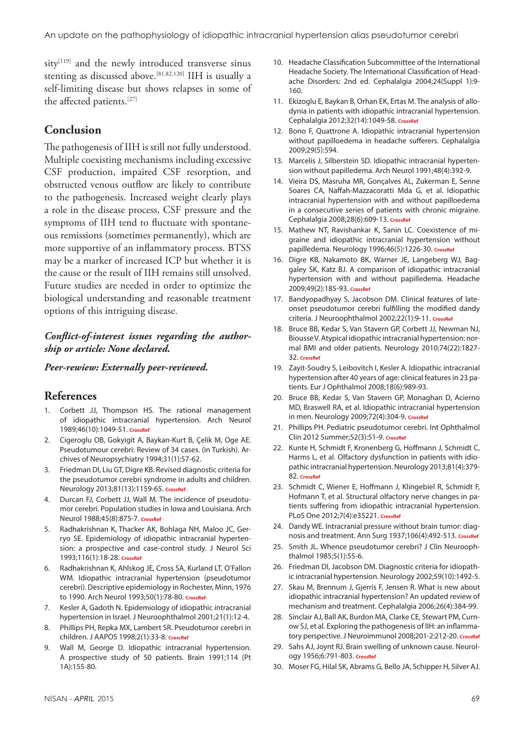sitv<sup>[119]</sup> and the newly introduced transverse sinus stenting as discussed above.[81,82,120] IIH is usually a self-limiting disease but shows relapses in some of the affected patients.[27]

## **Conclusion**

The pathogenesis of IIH is still not fully understood. Multiple coexisting mechanisms including excessive CSF production, impaired CSF resorption, and obstructed venous outflow are likely to contribute to the pathogenesis. Increased weight clearly plays a role in the disease process, CSF pressure and the symptoms of IIH tend to fluctuate with spontaneous remissions (sometimes permanently), which are more supportive of an inflammatory process. BTSS may be a marker of increased ICP but whether it is the cause or the result of IIH remains still unsolved. Future studies are needed in order to optimize the biological understanding and reasonable treatment options of this intriguing disease.

#### *Conflict-of-interest issues regarding the authorship or article: None declared.*

#### *Peer-rewiew: Externally peer-reviewed.*

## **References**

- 1. Corbett JJ, Thompson HS. The rational management of idiopathic intracranial hypertension. Arch Neurol 1989;46(10):1049-51. **[CrossRef](http://dx.doi.org/10.1001/archneur.1989.00520460025008)**
- 2. Cigeroglu OB, Gokyigit A, Baykan-Kurt B, Çelik M, Oge AE. Pseudotumour cerebri: Review of 34 cases. (in Turkish). Archives of Neuropsychiatry 1994;31(1):57-62.
- 3. Friedman DI, Liu GT, Digre KB. Revised diagnostic criteria for the pseudotumor cerebri syndrome in adults and children. Neurology 2013;81(13):1159-65. **[CrossRef](http://dx.doi.org/10.1212/WNL.0b013e3182a55f17)**
- 4. Durcan FJ, Corbett JJ, Wall M. The incidence of pseudotumor cerebri. Population studies in Iowa and Louisiana. Arch Neurol 1988;45(8):875-7. **[CrossRef](http://dx.doi.org/10.1001/archneur.1988.00520320065016)**
- 5. Radhakrishnan K, Thacker AK, Bohlaga NH, Maloo JC, Gerryo SE. Epidemiology of idiopathic intracranial hypertension: a prospective and case-control study. J Neurol Sci 1993;116(1):18-28. **[CrossRef](http://dx.doi.org/10.1016/0022-510X(93)90084-C)**
- 6. Radhakrishnan K, Ahlskog JE, Cross SA, Kurland LT, O'Fallon WM. Idiopathic intracranial hypertension (pseudotumor cerebri). Descriptive epidemiology in Rochester, Minn, 1976 to 1990. Arch Neurol 1993;50(1):78-80. **[CrossRef](http://dx.doi.org/10.1001/archneur.1993.00540010072020)**
- 7. Kesler A, Gadoth N. Epidemiology of idiopathic intracranial hypertension in Israel. [J Neuroophthalmol 2001;21\(1\):12-4.](http://dx.doi.org/10.1097/00041327-200103000-00003)
- 8. Phillips PH, Repka MX, Lambert SR. Pseudotumor cerebri in children. J AAPOS 1998;2(1):33-8. **[CrossRef](http://dx.doi.org/10.1016/S1091-8531(98)90107-0)**
- 9. Wall M, George D. Idiopathic intracranial hypertension. A prospective study of 50 patients. Brain 1991;114 (Pt 1A):155-80.
- 10. Headache Classification Subcommittee of the International Headache Society. The International Classification of Headache Disorders: 2nd ed. Cephalalgia 2004;24(Suppl 1):9- 160.
- 11. Ekizoglu E, Baykan B, Orhan EK, Ertas M. The analysis of allodynia in patients with idiopathic intracranial hypertension. Cephalalgia 2012;32(14):1049-58. **[CrossRef](http://dx.doi.org/10.1177/0333102412457091)**
- 12. Bono F, Quattrone A. Idiopathic intracranial hypertension without papilloedema in headache sufferers. Cephalalgia 2009;29(5):594.
- 13. Marcelis J, Silberstein SD. Idiopathic intracranial hypertension without papilledema. [Arch Neurol 1991;48\(4\):392-9.](http://dx.doi.org/10.1001/archneur.1991.00530160060014)
- 14. Vieira DS, Masruha MR, Gonçalves AL, Zukerman E, Senne Soares CA, Naffah-Mazzacoratti Mda G, et al. Idiopathic intracranial hypertension with and without papilloedema in a consecutive series of patients with chronic migraine. Cephalalgia 2008;28(6):609-13. **[CrossRef](http://dx.doi.org/10.1111/j.1468-2982.2008.01564.x)**
- 15. Mathew NT, Ravishankar K, Sanin LC. Coexistence of migraine and idiopathic intracranial hypertension without papilledema. Neurology 1996;46(5):1226-30. **[CrossRef](http://dx.doi.org/10.1212/WNL.46.5.1226)**
- 16. Digre KB, Nakamoto BK, Warner JE, Langeberg WJ, Baggaley SK, Katz BJ. A comparison of idiopathic intracranial hypertension with and without papilledema. Headache 2009;49(2):185-93. **[CrossRef](http://dx.doi.org/10.1111/j.1526-4610.2008.01324.x)**
- 17. Bandyopadhyay S, Jacobson DM. Clinical features of lateonset pseudotumor cerebri fulfilling the modified dandy criteria. J Neuroophthalmol 2002;22(1):9-11. **[CrossRef](http://dx.doi.org/10.1097/00041327-200203000-00003)**
- 18. Bruce BB, Kedar S, Van Stavern GP, Corbett JJ, Newman NJ, Biousse V. Atypical idiopathic intracranial hypertension: normal BMI and older patients. Neurology 2010;74(22):1827- 32. **[CrossRef](http://dx.doi.org/10.1212/WNL.0b013e3181e0f838)**
- 19. Zayit-Soudry S, Leibovitch I, Kesler A. Idiopathic intracranial hypertension after 40 years of age: clinical features in 23 patients. Eur J Ophthalmol 2008;18(6):989-93.
- 20. Bruce BB, Kedar S, Van Stavern GP, Monaghan D, Acierno MD, Braswell RA, et al. Idiopathic intracranial hypertension in men. Neurology 2009;72(4):304-9. **[CrossRef](http://dx.doi.org/10.1212/01.wnl.0000333254.84120.f5)**
- 21. Phillips PH. Pediatric pseudotumor cerebri. Int Ophthalmol Clin 2012 Summer;52(3):51-9. **[CrossRef](http://dx.doi.org/10.1097/IIO.0b013e31825a12f6)**
- 22. Kunte H, Schmidt F, Kronenberg G, Hoffmann J, Schmidt C, Harms L, et al. Olfactory dysfunction in patients with idiopathic intracranial hypertension. Neurology 2013;81(4):379- 82. **[CrossRef](http://dx.doi.org/10.1212/WNL.0b013e31829c5c9d)**
- 23. Schmidt C, Wiener E, Hoffmann J, Klingebiel R, Schmidt F, Hofmann T, et al. Structural olfactory nerve changes in patients suffering from idiopathic intracranial hypertension. PLoS One 2012;7(4):e35221. **[CrossRef](http://dx.doi.org/10.1371/journal.pone.0035221)**
- 24. Dandy WE. Intracranial pressure without brain tumor: diagnosis and treatment. Ann Surg 1937;106(4):492-513. **[CrossRef](http://dx.doi.org/10.1097/00000658-193710000-00002)**
- 25. Smith JL. Whence pseudotumor cerebri? J Clin Neuroophthalmol 1985;5(1):55-6.
- 26. Friedman DI, Jacobson DM. Diagnostic criteria for idiopathic intracranial hypertension. [Neurology 2002;59\(10\):1492-5.](http://dx.doi.org/10.1212/01.WNL.0000029570.69134.1B)
- 27. Skau M, Brennum J, Gjerris F, Jensen R. What is new about idiopathic intracranial hypertension? An updated review of mechanism and treatment[. Cephalalgia 2006;26\(4\):384-99.](http://dx.doi.org/10.1111/j.1468-2982.2005.01055.x)
- 28. Sinclair AJ, Ball AK, Burdon MA, Clarke CE, Stewart PM, Curnow SJ, et al. Exploring the pathogenesis of IIH: an inflammatory perspective. J Neuroimmunol 2008;201-2:212-20. **[CrossRef](http://dx.doi.org/10.1016/j.jneuroim.2008.06.029)**
- 29. Sahs AJ, Joynt RJ. Brain swelling of unknown cause. Neurology 1956;6:791-803. **[CrossRef](http://dx.doi.org/10.1212/WNL.6.11.791)**
- 30. Moser FG, Hilal SK, Abrams G, Bello JA, Schipper H, Silver AJ.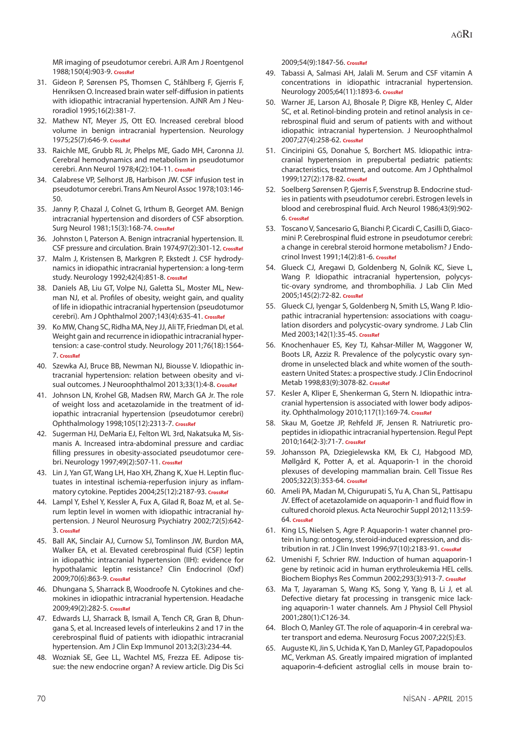MR imaging of pseudotumor cerebri. AJR Am J Roentgenol 1988;150(4):903-9. **[CrossRef](http://dx.doi.org/10.2214/ajr.150.4.903)**

- 31. Gideon P, Sørensen PS, Thomsen C, Ståhlberg F, Gjerris F, Henriksen O. Increased brain water self-diffusion in patients with idiopathic intracranial hypertension. AJNR Am J Neuroradiol 1995;16(2):381-7.
- 32. Mathew NT, Meyer JS, Ott EO. Increased cerebral blood volume in benign intracranial hypertension. Neurology 1975;25(7):646-9. **[CrossRef](http://dx.doi.org/10.1212/WNL.25.7.646)**
- 33. Raichle ME, Grubb RL Jr, Phelps ME, Gado MH, Caronna JJ. Cerebral hemodynamics and metabolism in pseudotumor cerebri. Ann Neurol 1978;4(2):104-11. **[CrossRef](http://dx.doi.org/10.1002/ana.410040203)**
- 34. Calabrese VP, Selhorst JB, Harbison JW. CSF infusion test in pseudotumor cerebri. Trans Am Neurol Assoc 1978;103:146- 50.
- 35. Janny P, Chazal J, Colnet G, Irthum B, Georget AM. Benign intracranial hypertension and disorders of CSF absorption. Surg Neurol 1981;15(3):168-74. **[CrossRef](http://dx.doi.org/10.1016/0090-3019(81)90131-2)**
- 36. Johnston I, Paterson A. Benign intracranial hypertension. II. CSF pressure and circulation. Brain 1974;97(2):301-12. **[CrossRef](http://dx.doi.org/10.1093/brain/97.1.301)**
- 37. Malm J, Kristensen B, Markgren P, Ekstedt J. CSF hydrodynamics in idiopathic intracranial hypertension: a long-term study. Neurology 1992;42(4):851-8. **[CrossRef](http://dx.doi.org/10.1212/WNL.42.4.851)**
- 38. Daniels AB, Liu GT, Volpe NJ, Galetta SL, Moster ML, Newman NJ, et al. Profiles of obesity, weight gain, and quality of life in idiopathic intracranial hypertension (pseudotumor cerebri). Am J Ophthalmol 2007;143(4):635-41. **[CrossRef](http://dx.doi.org/10.1016/j.ajo.2006.12.040)**
- 39. Ko MW, Chang SC, Ridha MA, Ney JJ, Ali TF, Friedman DI, et al. Weight gain and recurrence in idiopathic intracranial hypertension: a case-control study. Neurology 2011;76(18):1564- 7. **[CrossRef](http://dx.doi.org/10.1212/WNL.0b013e3182190f51)**
- 40. Szewka AJ, Bruce BB, Newman NJ, Biousse V. Idiopathic intracranial hypertension: relation between obesity and visual outcomes. J Neuroophthalmol 2013;33(1):4-8. **[CrossRef](http://dx.doi.org/10.1097/WNO.0b013e31823f852d)**
- 41. Johnson LN, Krohel GB, Madsen RW, March GA Jr. The role of weight loss and acetazolamide in the treatment of idiopathic intracranial hypertension (pseudotumor cerebri) Ophthalmology 1998;105(12):2313-7. **[CrossRef](http://dx.doi.org/10.1016/S0161-6420(98)91234-9)**
- 42. Sugerman HJ, DeMaria EJ, Felton WL 3rd, Nakatsuka M, Sismanis A. Increased intra-abdominal pressure and cardiac filling pressures in obesity-associated pseudotumor cerebri. Neurology 1997;49(2):507-11. **[CrossRef](http://dx.doi.org/10.1212/WNL.49.2.507)**
- 43. Lin J, Yan GT, Wang LH, Hao XH, Zhang K, Xue H. Leptin fluctuates in intestinal ischemia-reperfusion injury as inflammatory cytokine. Peptides 2004;25(12):2187-93. **[CrossRef](http://dx.doi.org/10.1016/j.peptides.2004.08.006)**
- 44. Lampl Y, Eshel Y, Kessler A, Fux A, Gilad R, Boaz M, et al. Serum leptin level in women with idiopathic intracranial hypertension. J Neurol Neurosurg Psychiatry 2002;72(5):642- 3. **[CrossRef](http://dx.doi.org/10.1136/jnnp.72.5.642)**
- 45. Ball AK, Sinclair AJ, Curnow SJ, Tomlinson JW, Burdon MA, Walker EA, et al. Elevated cerebrospinal fluid (CSF) leptin in idiopathic intracranial hypertension (IIH): evidence for hypothalamic leptin resistance? Clin Endocrinol (Oxf) 2009;70(6):863-9. **[CrossRef](http://dx.doi.org/10.1111/j.1365-2265.2008.03401.x)**
- 46. Dhungana S, Sharrack B, Woodroofe N. Cytokines and chemokines in idiopathic intracranial hypertension. Headache 2009;49(2):282-5. **[CrossRef](http://dx.doi.org/10.1111/j.1526-4610.2008.001329.x)**
- 47. Edwards LJ, Sharrack B, Ismail A, Tench CR, Gran B, Dhungana S, et al. Increased levels of interleukins 2 and 17 in the cerebrospinal fluid of patients with idiopathic intracranial hypertension. Am J Clin Exp Immunol 2013;2(3):234-44.
- 48. Wozniak SE, Gee LL, Wachtel MS, Frezza EE. Adipose tissue: the new endocrine organ? A review article. Dig Dis Sci

2009;54(9):1847-56. **[CrossRef](http://dx.doi.org/10.1007/s10620-008-0585-3)**

- 49. Tabassi A, Salmasi AH, Jalali M. Serum and CSF vitamin A concentrations in idiopathic intracranial hypertension. Neurology 2005;64(11):1893-6. **[CrossRef](http://dx.doi.org/10.1212/01.WNL.0000163556.31080.98)**
- 50. Warner JE, Larson AJ, Bhosale P, Digre KB, Henley C, Alder SC, et al. Retinol-binding protein and retinol analysis in cerebrospinal fluid and serum of patients with and without idiopathic intracranial hypertension. J Neuroophthalmol 2007;27(4):258-62. **[CrossRef](http://dx.doi.org/10.1097/WNO.0b013e31815b9af0)**
- 51. Cinciripini GS, Donahue S, Borchert MS. Idiopathic intracranial hypertension in prepubertal pediatric patients: characteristics, treatment, and outcome. Am J Ophthalmol 1999;127(2):178-82. **[CrossRef](http://dx.doi.org/10.1016/S0002-9394(98)00386-9)**
- 52. Soelberg Sørensen P, Gjerris F, Svenstrup B. Endocrine studies in patients with pseudotumor cerebri. Estrogen levels in blood and cerebrospinal fluid. Arch Neurol 1986;43(9):902- 6. **[CrossRef](http://dx.doi.org/10.1001/archneur.1986.00520090038013)**
- 53. Toscano V, Sancesario G, Bianchi P, Cicardi C, Casilli D, Giacomini P. Cerebrospinal fluid estrone in pseudotumor cerebri: a change in cerebral steroid hormone metabolism? J Endocrinol Invest 1991;14(2):81-6. **[CrossRef](http://dx.doi.org/10.1007/BF03350271)**
- 54. Glueck CJ, Aregawi D, Goldenberg N, Golnik KC, Sieve L, Wang P. Idiopathic intracranial hypertension, polycystic-ovary syndrome, and thrombophilia. J Lab Clin Med 2005;145(2):72-82. **[CrossRef](http://dx.doi.org/10.1016/j.lab.2004.09.011)**
- 55. Glueck CJ, Iyengar S, Goldenberg N, Smith LS, Wang P. Idiopathic intracranial hypertension: associations with coagulation disorders and polycystic-ovary syndrome. J Lab Clin Med 2003;142(1):35-45. **[CrossRef](http://dx.doi.org/10.1016/S0022-2143(03)00069-6)**
- 56. Knochenhauer ES, Key TJ, Kahsar-Miller M, Waggoner W, Boots LR, Azziz R. Prevalence of the polycystic ovary syndrome in unselected black and white women of the southeastern United States: a prospective study. J Clin Endocrinol Metab 1998;83(9):3078-82. **[CrossRef](http://dx.doi.org/10.1210/jcem.83.9.5090)**
- 57. Kesler A, Kliper E, Shenkerman G, Stern N. Idiopathic intracranial hypertension is associated with lower body adiposity. Ophthalmology 2010;117(1):169-74. **[CrossRef](http://dx.doi.org/10.1016/j.ophtha.2009.06.030)**
- 58. Skau M, Goetze JP, Rehfeld JF, Jensen R. Natriuretic propeptides in idiopathic intracranial hypertension. Regul Pept 2010;164(2-3):71-7. **[CrossRef](http://dx.doi.org/10.1016/j.regpep.2010.05.009)**
- 59. Johansson PA, Dziegielewska KM, Ek CJ, Habgood MD, Møllgård K, Potter A, et al. Aquaporin-1 in the choroid plexuses of developing mammalian brain. Cell Tissue Res 2005;322(3):353-64. **[CrossRef](http://dx.doi.org/10.1007/s00441-005-1120-x)**
- 60. Ameli PA, Madan M, Chigurupati S, Yu A, Chan SL, Pattisapu JV. Effect of acetazolamide on aquaporin-1 and fluid flow in cultured choroid plexus. Acta Neurochir Suppl 2012;113:59- 64. **[CrossRef](http://dx.doi.org/10.1007/978-3-7091-0923-6_13)**
- 61. King LS, Nielsen S, Agre P. Aquaporin-1 water channel protein in lung: ontogeny, steroid-induced expression, and distribution in rat. J Clin Invest 1996;97(10):2183-91. **[CrossRef](http://dx.doi.org/10.1172/JCI118659)**
- 62. Umenishi F, Schrier RW. Induction of human aquaporin-1 gene by retinoic acid in human erythroleukemia HEL cells. Biochem Biophys Res Commun 2002;293(3):913-7. **[CrossRef](http://dx.doi.org/10.1016/S0006-291X(02)00316-9)**
- 63. Ma T, Jayaraman S, Wang KS, Song Y, Yang B, Li J, et al. Defective dietary fat processing in transgenic mice lacking aquaporin-1 water channels. Am J Physiol Cell Physiol 2001;280(1):C126-34.
- 64. Bloch O, Manley GT. The role of aquaporin-4 in cerebral water transport and edema. [Neurosurg Focus 2007;22\(5\):E3.](http://dx.doi.org/10.3171/foc.2007.22.5.4)
- 65. Auguste KI, Jin S, Uchida K, Yan D, Manley GT, Papadopoulos MC, Verkman AS. Greatly impaired migration of implanted aquaporin-4-deficient astroglial cells in mouse brain to-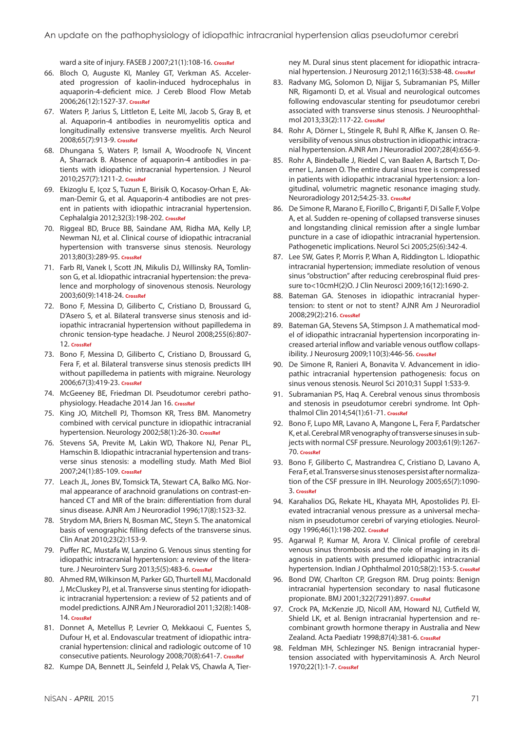ward a site of injury. FASEB J 2007;21(1):108-16. **[CrossRef](http://dx.doi.org/10.1096/fj.06-6848com)**

- 66. Bloch O, Auguste KI, Manley GT, Verkman AS. Accelerated progression of kaolin-induced hydrocephalus in aquaporin-4-deficient mice. J Cereb Blood Flow Metab 2006;26(12):1527-37. **[CrossRef](http://dx.doi.org/10.1038/sj.jcbfm.9600306)**
- 67. Waters P, Jarius S, Littleton E, Leite MI, Jacob S, Gray B, et al. Aquaporin-4 antibodies in neuromyelitis optica and longitudinally extensive transverse myelitis. Arch Neurol 2008;65(7):913-9. **[CrossRef](http://dx.doi.org/10.1001/archneur.65.7.913)**
- 68. Dhungana S, Waters P, Ismail A, Woodroofe N, Vincent A, Sharrack B. Absence of aquaporin-4 antibodies in patients with idiopathic intracranial hypertension. J Neurol 2010;257(7):1211-2. **[CrossRef](http://dx.doi.org/10.1007/s00415-010-5553-0)**
- 69. Ekizoglu E, Içoz S, Tuzun E, Birisik O, Kocasoy-Orhan E, Akman-Demir G, et al. Aquaporin-4 antibodies are not present in patients with idiopathic intracranial hypertension. Cephalalgia 2012;32(3):198-202. **[CrossRef](http://dx.doi.org/10.1177/0333102411434167)**
- 70. Riggeal BD, Bruce BB, Saindane AM, Ridha MA, Kelly LP, Newman NJ, et al. Clinical course of idiopathic intracranial hypertension with transverse sinus stenosis. Neurology 2013;80(3):289-95. **[CrossRef](http://dx.doi.org/10.1212/WNL.0b013e31827debd6)**
- 71. Farb RI, Vanek I, Scott JN, Mikulis DJ, Willinsky RA, Tomlinson G, et al. Idiopathic intracranial hypertension: the prevalence and morphology of sinovenous stenosis. Neurology 2003;60(9):1418-24. **[CrossRef](http://dx.doi.org/10.1212/01.WNL.0000066683.34093.E2)**
- 72. Bono F, Messina D, Giliberto C, Cristiano D, Broussard G, D'Asero S, et al. Bilateral transverse sinus stenosis and idiopathic intracranial hypertension without papilledema in chronic tension-type headache. J Neurol 2008;255(6):807- 12. **[CrossRef](http://dx.doi.org/10.1007/s00415-008-0676-2)**
- 73. Bono F, Messina D, Giliberto C, Cristiano D, Broussard G, Fera F, et al. Bilateral transverse sinus stenosis predicts IIH without papilledema in patients with migraine. Neurology 2006;67(3):419-23. **[CrossRef](http://dx.doi.org/10.1212/01.wnl.0000227892.67354.85)**
- 74. McGeeney BE, Friedman DI. Pseudotumor cerebri patho-physiology. Headache 2014 Jan 16. [CrossRef](http://dx.doi.org/10.1111/head.12291)
- 75. King JO, Mitchell PJ, Thomson KR, Tress BM. Manometry combined with cervical puncture in idiopathic intracranial hypertension. Neurology 2002;58(1):26-30. [CrossRef](http://dx.doi.org/10.1212/WNL.58.1.26)
- 76. Stevens SA, Previte M, Lakin WD, Thakore NJ, Penar PL, Hamschin B. Idiopathic intracranial hypertension and transverse sinus stenosis: a modelling study. Math Med Biol 2007;24(1):85-109. **[CrossRef](http://dx.doi.org/10.1093/imammb/dql025)**
- 77. Leach JL, Jones BV, Tomsick TA, Stewart CA, Balko MG. Normal appearance of arachnoid granulations on contrast-enhanced CT and MR of the brain: differentiation from dural sinus disease. AJNR Am J Neuroradiol 1996;17(8):1523-32.
- 78. Strydom MA, Briers N, Bosman MC, Steyn S. The anatomical basis of venographic filling defects of the transverse sinus. Clin Anat 2010;23(2):153-9.
- 79. Puffer RC, Mustafa W, Lanzino G. Venous sinus stenting for idiopathic intracranial hypertension: a review of the literature. J Neurointerv Surg 2013;5(5):483-6. **[CrossRef](http://dx.doi.org/10.1136/neurintsurg-2012-010468)**
- 80. Ahmed RM, Wilkinson M, Parker GD, Thurtell MJ, Macdonald J, McCluskey PJ, et al. Transverse sinus stenting for idiopathic intracranial hypertension: a review of 52 patients and of model predictions. AJNR Am J Neuroradiol 2011;32(8):1408- 14. **[CrossRef](http://dx.doi.org/10.3174/ajnr.A2575)**
- 81. Donnet A, Metellus P, Levrier O, Mekkaoui C, Fuentes S, Dufour H, et al. Endovascular treatment of idiopathic intracranial hypertension: clinical and radiologic outcome of 10 consecutive patients. Neurology 2008;70(8):641-7. **[CrossRef](http://dx.doi.org/10.1212/01.wnl.0000299894.30700.d2)**
- 82. Kumpe DA, Bennett JL, Seinfeld J, Pelak VS, Chawla A, Tier-

ney M. Dural sinus stent placement for idiopathic intracranial hypertension. J Neurosurg 2012;116(3):538-48. **[CrossRef](http://dx.doi.org/10.3171/2011.10.JNS101410)**

- 83. Radvany MG, Solomon D, Nijjar S, Subramanian PS, Miller NR, Rigamonti D, et al. Visual and neurological outcomes following endovascular stenting for pseudotumor cerebri associated with transverse sinus stenosis. J Neuroophthalmol 2013;33(2):117-22. **[CrossRef](http://dx.doi.org/10.1097/WNO.0b013e31827f18eb)**
- 84. Rohr A, Dörner L, Stingele R, Buhl R, Alfke K, Jansen O. Reversibility of venous sinus obstruction in idiopathic intracranial hypertension. AJNR Am J Neuroradiol 2007;28(4):656-9.
- 85. Rohr A, Bindeballe J, Riedel C, van Baalen A, Bartsch T, Doerner L, Jansen O. The entire dural sinus tree is compressed in patients with idiopathic intracranial hypertension: a longitudinal, volumetric magnetic resonance imaging study. Neuroradiology 2012;54:25-33. **[CrossRef](http://dx.doi.org/10.1007/s00234-011-0850-6)**
- 86. De Simone R, Marano E, Fiorillo C, Briganti F, Di Salle F, Volpe A, et al. Sudden re-opening of collapsed transverse sinuses and longstanding clinical remission after a single lumbar puncture in a case of idiopathic intracranial hypertension. Pathogenetic implications. [Neurol Sci 2005;25\(6\):342-4.](http://dx.doi.org/10.1007/s10072-004-0368-3)
- 87. Lee SW, Gates P, Morris P, Whan A, Riddington L. Idiopathic intracranial hypertension; immediate resolution of venous sinus "obstruction" after reducing cerebrospinal fluid pressure to<10cmH(2)O. [J Clin Neurosci 2009;16\(12\):1690-2.](http://dx.doi.org/10.1016/j.jocn.2009.04.014)
- 88. Bateman GA. Stenoses in idiopathic intracranial hypertension: to stent or not to stent? AJNR Am J Neuroradiol 2008;29(2):216. **[CrossRef](http://dx.doi.org/10.3174/ajnr.A0804)**
- 89. Bateman GA, Stevens SA, Stimpson J. A mathematical model of idiopathic intracranial hypertension incorporating increased arterial inflow and variable venous outflow collapsibility. J Neurosurg 2009;110(3):446-56. **[CrossRef](http://dx.doi.org/10.3171/2008.6.17609)**
- 90. De Simone R, Ranieri A, Bonavita V. Advancement in idiopathic intracranial hypertension pathogenesis: focus on sinus venous stenosis[. Neurol Sci 2010;31 Suppl 1:S33-9.](http://dx.doi.org/10.1007/s10072-010-0271-z)
- 91. Subramanian PS, Haq A. Cerebral venous sinus thrombosis and stenosis in pseudotumor cerebri syndrome. Int Ophthalmol Clin 2014;54(1):61-71. **[CrossRef](http://dx.doi.org/10.1097/IIO.0000000000000005)**
- 92. Bono F, Lupo MR, Lavano A, Mangone L, Fera F, Pardatscher K, et al. Cerebral MR venography of transverse sinuses in subjects with normal CSF pressure. Neurology 2003;61(9):1267- 70. **[CrossRef](http://dx.doi.org/10.1212/01.WNL.0000092021.88299.B4)**
- 93. Bono F, Giliberto C, Mastrandrea C, Cristiano D, Lavano A, Fera F, et al. Transverse sinus stenoses persist after normalization of the CSF pressure in IIH. Neurology 2005;65(7):1090- 3. **[CrossRef](http://dx.doi.org/10.1212/01.wnl.0000178889.63571.e5)**
- 94. Karahalios DG, Rekate HL, Khayata MH, Apostolides PJ. Elevated intracranial venous pressure as a universal mechanism in pseudotumor cerebri of varying etiologies. Neurology 1996;46(1):198-202. **[CrossRef](http://dx.doi.org/10.1212/WNL.46.1.198)**
- 95. Agarwal P, Kumar M, Arora V. Clinical profile of cerebral venous sinus thrombosis and the role of imaging in its diagnosis in patients with presumed idiopathic intracranial hypertension. Indian J Ophthalmol 2010;58(2):153-5. **[CrossRef](http://dx.doi.org/10.4103/0301-4738.60092)**
- 96. Bond DW, Charlton CP, Gregson RM. Drug points: Benign intracranial hypertension secondary to nasal fluticasone propionate. BMJ 2001;322(7291):897. **[CrossRef](http://dx.doi.org/10.1136/bmj.322.7291.897)**
- 97. Crock PA, McKenzie JD, Nicoll AM, Howard NJ, Cutfield W, Shield LK, et al. Benign intracranial hypertension and recombinant growth hormone therapy in Australia and New Zealand. Acta Paediatr 1998;87(4):381-6. **[CrossRef](http://dx.doi.org/10.1111/j.1651-2227.1998.tb01463.x)**
- 98. Feldman MH, Schlezinger NS. Benign intracranial hypertension associated with hypervitaminosis A. Arch Neurol 1970;22(1):1-7. **[CrossRef](http://dx.doi.org/10.1001/archneur.1970.00480190005001)**